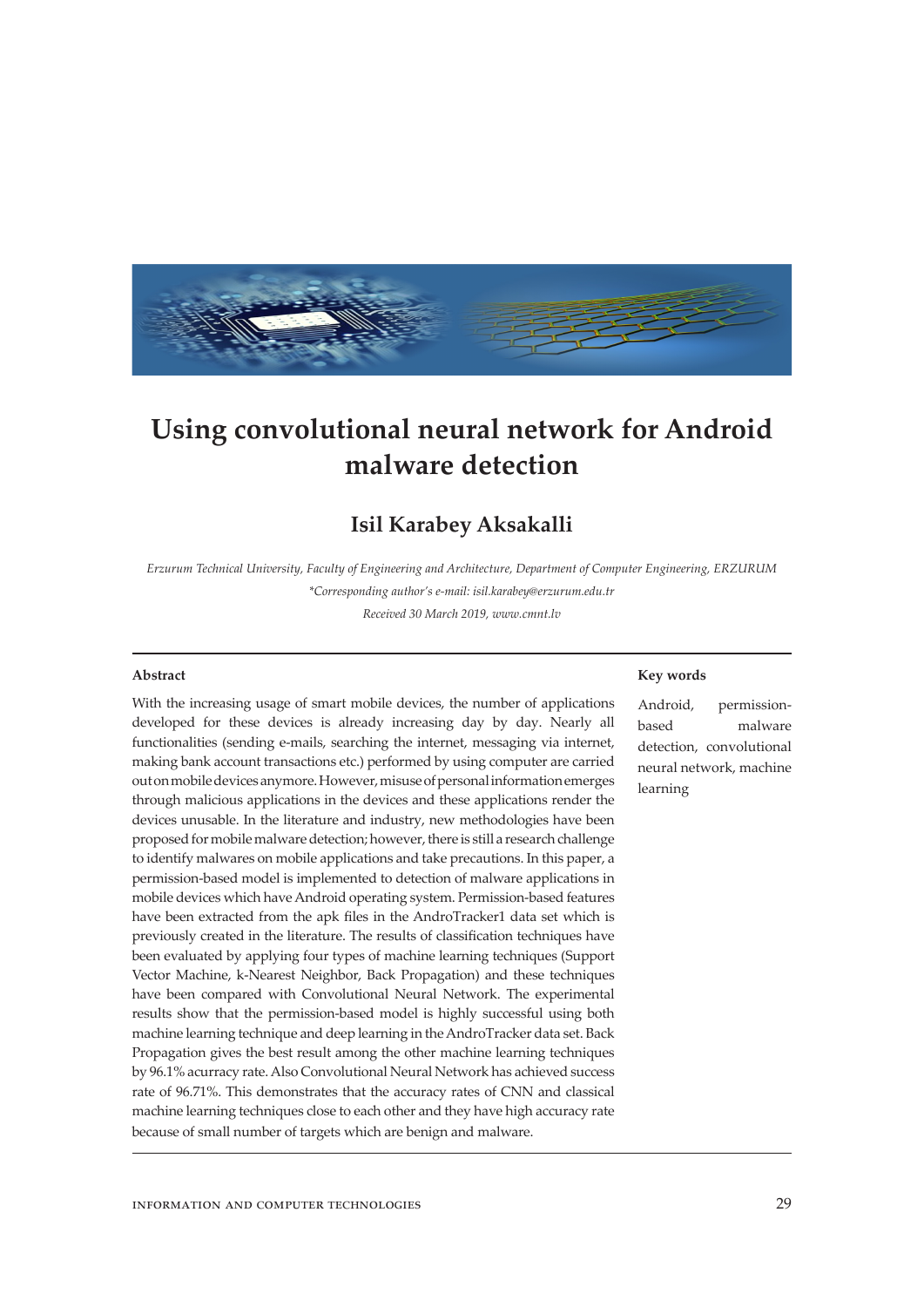

# **Using convolutional neural network for Android malware detection**

# **Isil Karabey Aksakalli**

*Erzurum Technical University, Faculty of Engineering and Architecture, Department of Computer Engineering, ERZURUM \*Corresponding author's e-mail: isil.karabey@erzurum.edu.tr*

*Received 30 March 2019, www.cmnt.lv*

#### **Abstract**

With the increasing usage of smart mobile devices, the number of applications developed for these devices is already increasing day by day. Nearly all functionalities (sending e-mails, searching the internet, messaging via internet, making bank account transactions etc.) performed by using computer are carried out on mobile devices anymore. However, misuse of personal information emerges through malicious applications in the devices and these applications render the devices unusable. In the literature and industry, new methodologies have been proposed for mobile malware detection; however, there is still a research challenge to identify malwares on mobile applications and take precautions. In this paper, a permission-based model is implemented to detection of malware applications in mobile devices which have Android operating system. Permission-based features have been extracted from the apk files in the AndroTracker1 data set which is previously created in the literature. The results of classification techniques have been evaluated by applying four types of machine learning techniques (Support Vector Machine, k-Nearest Neighbor, Back Propagation) and these techniques have been compared with Convolutional Neural Network. The experimental results show that the permission-based model is highly successful using both machine learning technique and deep learning in the AndroTracker data set. Back Propagation gives the best result among the other machine learning techniques by 96.1% acurracy rate. Also Convolutional Neural Network has achieved success rate of 96.71%. This demonstrates that the accuracy rates of CNN and classical machine learning techniques close to each other and they have high accuracy rate because of small number of targets which are benign and malware.

#### **Key words**

Android, permissionbased malware detection, convolutional neural network, machine learning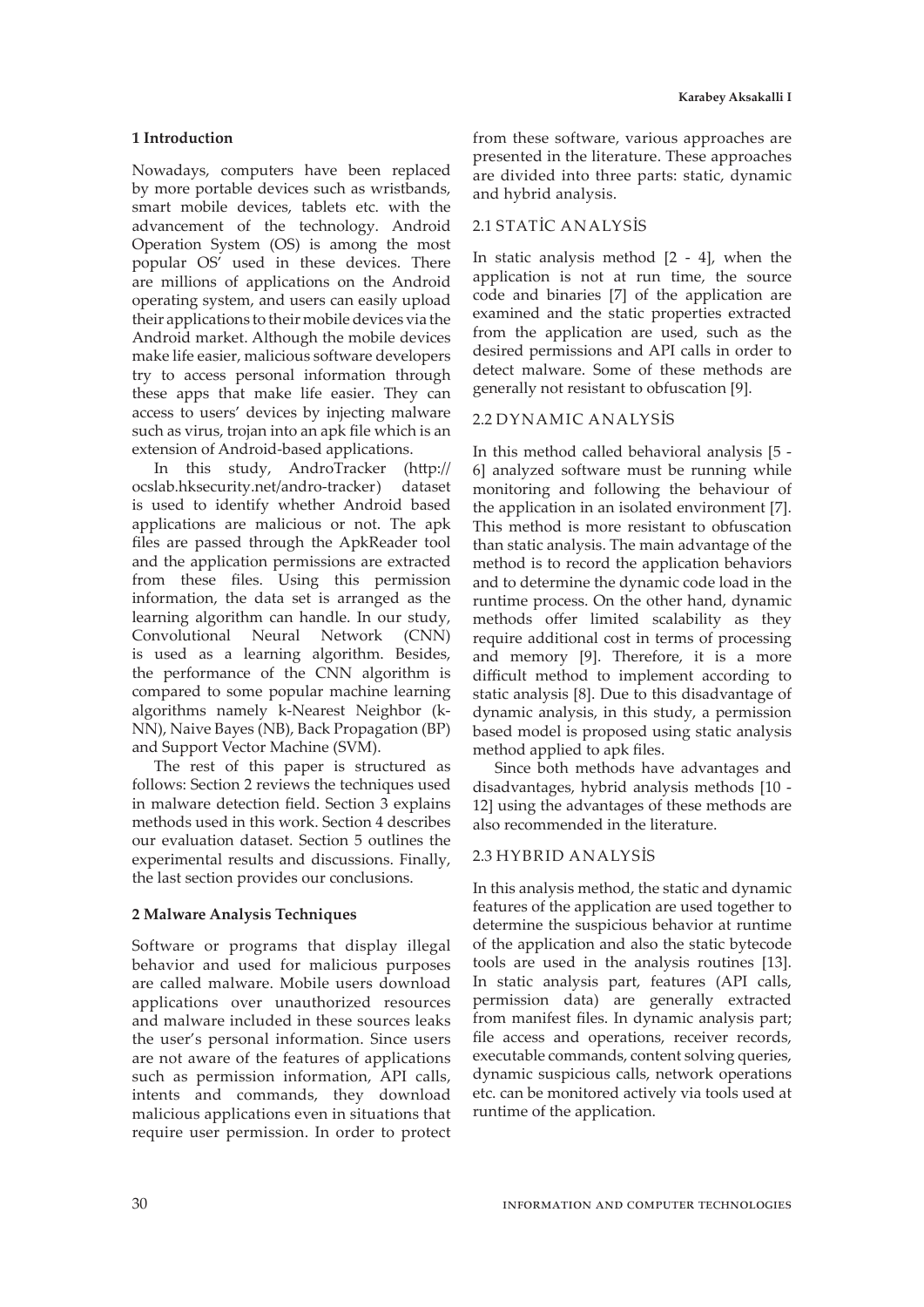## **1 Introduction**

Nowadays, computers have been replaced by more portable devices such as wristbands, smart mobile devices, tablets etc. with the advancement of the technology. Android Operation System (OS) is among the most popular OS' used in these devices. There are millions of applications on the Android operating system, and users can easily upload their applications to their mobile devices via the Android market. Although the mobile devices make life easier, malicious software developers try to access personal information through these apps that make life easier. They can access to users' devices by injecting malware such as virus, trojan into an apk file which is an extension of Android-based applications.

In this study, AndroTracker (http:// ocslab.hksecurity.net/andro-tracker) dataset is used to identify whether Android based applications are malicious or not. The apk files are passed through the ApkReader tool and the application permissions are extracted from these files. Using this permission information, the data set is arranged as the learning algorithm can handle. In our study, Convolutional Neural Network (CNN) is used as a learning algorithm. Besides, the performance of the CNN algorithm is compared to some popular machine learning algorithms namely k-Nearest Neighbor (k-NN), Naive Bayes (NB), Back Propagation (BP) and Support Vector Machine (SVM).

The rest of this paper is structured as follows: Section 2 reviews the techniques used in malware detection field. Section 3 explains methods used in this work. Section 4 describes our evaluation dataset. Section 5 outlines the experimental results and discussions. Finally, the last section provides our conclusions.

# **2 Malware Analysis Techniques**

Software or programs that display illegal behavior and used for malicious purposes are called malware. Mobile users download applications over unauthorized resources and malware included in these sources leaks the user's personal information. Since users are not aware of the features of applications such as permission information, API calls, intents and commands, they download malicious applications even in situations that require user permission. In order to protect

from these software, various approaches are presented in the literature. These approaches are divided into three parts: static, dynamic and hybrid analysis.

#### 2.1 STATİC ANALYSİS

In static analysis method [2 - 4], when the application is not at run time, the source code and binaries [7] of the application are examined and the static properties extracted from the application are used, such as the desired permissions and API calls in order to detect malware. Some of these methods are generally not resistant to obfuscation [9].

# 2.2 DYNAMIC ANALYSİS

In this method called behavioral analysis [5 - 6] analyzed software must be running while monitoring and following the behaviour of the application in an isolated environment [7]. This method is more resistant to obfuscation than static analysis. The main advantage of the method is to record the application behaviors and to determine the dynamic code load in the runtime process. On the other hand, dynamic methods offer limited scalability as they require additional cost in terms of processing and memory [9]. Therefore, it is a more difficult method to implement according to static analysis [8]. Due to this disadvantage of dynamic analysis, in this study, a permission based model is proposed using static analysis method applied to apk files.

Since both methods have advantages and disadvantages, hybrid analysis methods [10 - 12] using the advantages of these methods are also recommended in the literature.

## 2.3 HYBRID ANALYSİS

In this analysis method, the static and dynamic features of the application are used together to determine the suspicious behavior at runtime of the application and also the static bytecode tools are used in the analysis routines [13]. In static analysis part, features (API calls, permission data) are generally extracted from manifest files. In dynamic analysis part; file access and operations, receiver records, executable commands, content solving queries, dynamic suspicious calls, network operations etc. can be monitored actively via tools used at runtime of the application.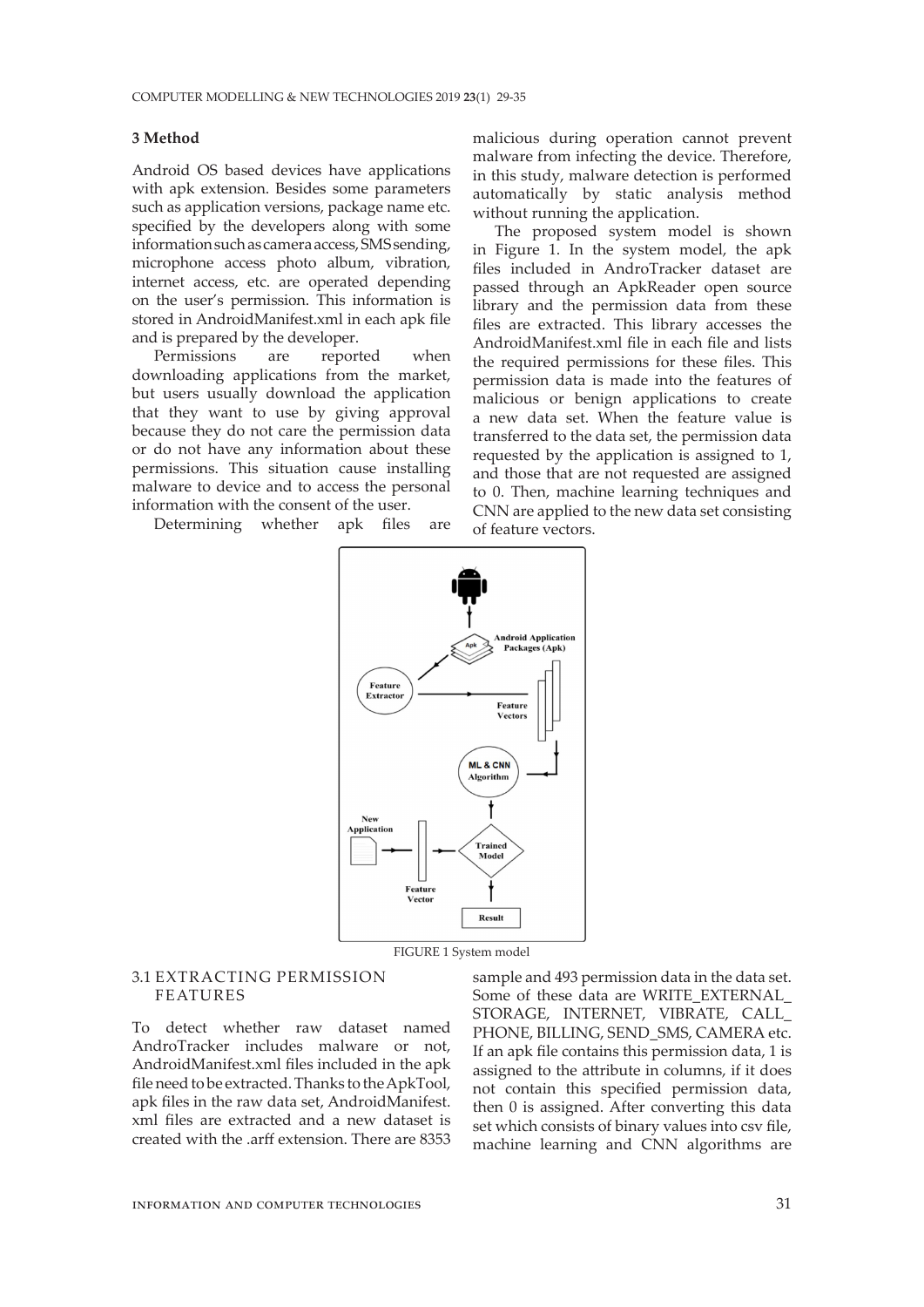#### **3 Method**

Android OS based devices have applications with apk extension. Besides some parameters such as application versions, package name etc. specified by the developers along with some information such as camera access, SMS sending, microphone access photo album, vibration, internet access, etc. are operated depending on the user's permission. This information is stored in AndroidManifest.xml in each apk file and is prepared by the developer.

Permissions are reported when downloading applications from the market, but users usually download the application that they want to use by giving approval because they do not care the permission data or do not have any information about these permissions. This situation cause installing malware to device and to access the personal information with the consent of the user.

Determining whether apk files are

malicious during operation cannot prevent malware from infecting the device. Therefore, in this study, malware detection is performed automatically by static analysis method without running the application.

The proposed system model is shown in Figure 1. In the system model, the apk files included in AndroTracker dataset are passed through an ApkReader open source library and the permission data from these files are extracted. This library accesses the AndroidManifest.xml file in each file and lists the required permissions for these files. This permission data is made into the features of malicious or benign applications to create a new data set. When the feature value is transferred to the data set, the permission data requested by the application is assigned to 1, and those that are not requested are assigned to 0. Then, machine learning techniques and CNN are applied to the new data set consisting of feature vectors.



FIGURE 1 System model

# 3.1 EXTRACTING PERMISSION FEATURES

To detect whether raw dataset named AndroTracker includes malware or not, AndroidManifest.xml files included in the apk file need to be extracted. Thanks to the ApkTool, apk files in the raw data set, AndroidManifest. xml files are extracted and a new dataset is created with the .arff extension. There are 8353 sample and 493 permission data in the data set. Some of these data are WRITE\_EXTERNAL STORAGE, INTERNET, VIBRATE, CALL\_ PHONE, BILLING, SEND\_SMS, CAMERA etc. If an apk file contains this permission data, 1 is assigned to the attribute in columns, if it does not contain this specified permission data, then 0 is assigned. After converting this data set which consists of binary values into csv file, machine learning and CNN algorithms are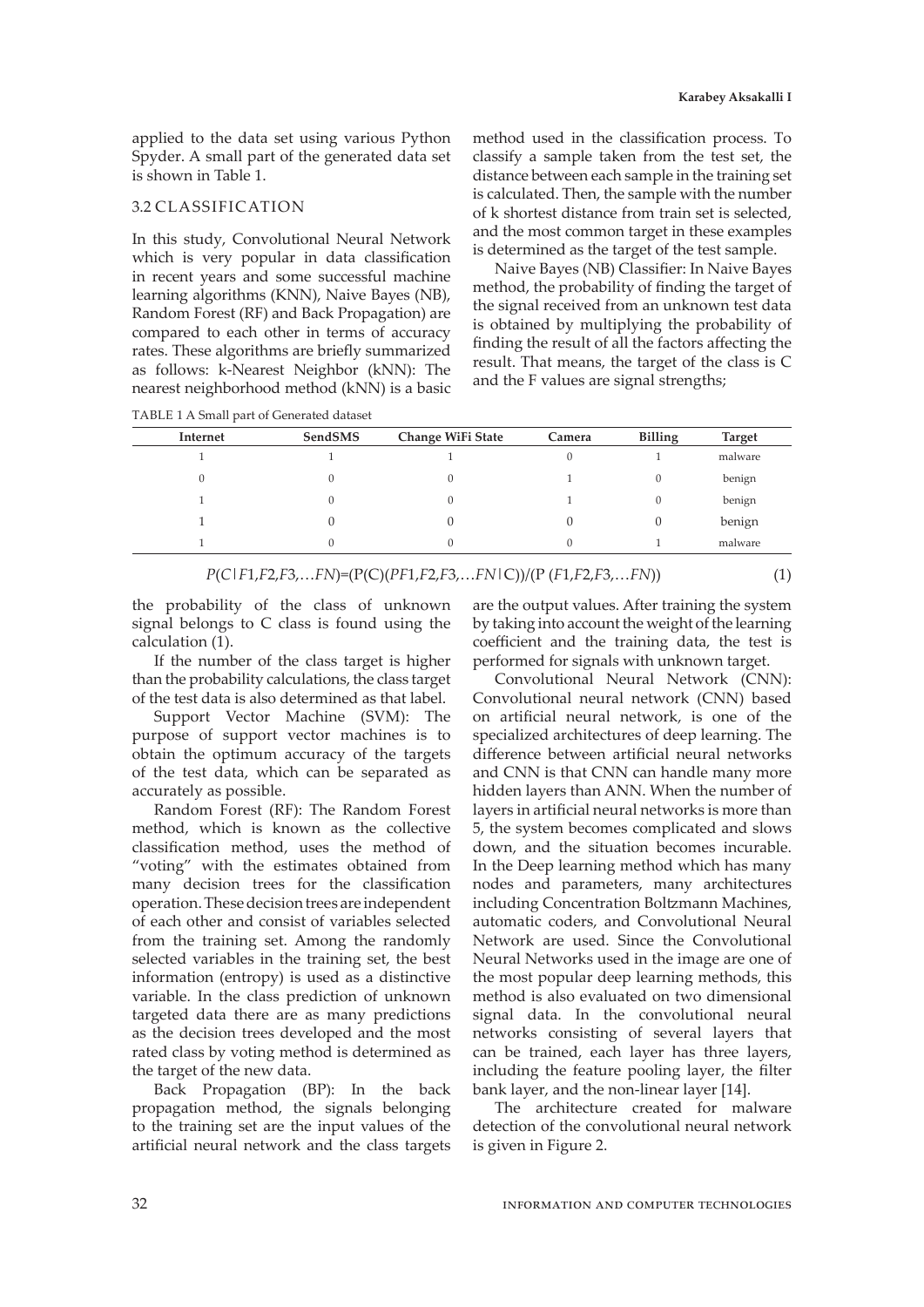applied to the data set using various Python Spyder. A small part of the generated data set is shown in Table 1.

#### 3.2 CLASSIFICATION

In this study, Convolutional Neural Network which is very popular in data classification in recent years and some successful machine learning algorithms (KNN), Naive Bayes (NB), Random Forest (RF) and Back Propagation) are compared to each other in terms of accuracy rates. These algorithms are briefly summarized as follows: k-Nearest Neighbor (kNN): The nearest neighborhood method (kNN) is a basic method used in the classification process. To classify a sample taken from the test set, the distance between each sample in the training set is calculated. Then, the sample with the number of k shortest distance from train set is selected, and the most common target in these examples is determined as the target of the test sample.

Naive Bayes (NB) Classifier: In Naive Bayes method, the probability of finding the target of the signal received from an unknown test data is obtained by multiplying the probability of finding the result of all the factors affecting the result. That means, the target of the class is C and the F values are signal strengths;

TABLE 1 A Small part of Generated dataset

| Internet | SendSMS | Change WiFi State | Camera | <b>Billing</b> | <b>Target</b> |
|----------|---------|-------------------|--------|----------------|---------------|
|          |         |                   |        |                | malware       |
|          |         | 0                 |        |                | benign        |
|          |         | 0                 |        |                | benign        |
|          |         |                   |        |                | benign        |
|          | 0       | 0                 | υ      |                | malware       |

*P*(*C*|*F*1,*F*2,*F*3,…*FN*)=(P(C)(*PF*1,*F*2,*F*3,…*FN*|C))/(P (*F*1,*F*2,*F*3,…*FN*)) (1)

the probability of the class of unknown signal belongs to C class is found using the calculation (1).

If the number of the class target is higher than the probability calculations, the class target of the test data is also determined as that label.

Support Vector Machine (SVM): The purpose of support vector machines is to obtain the optimum accuracy of the targets of the test data, which can be separated as accurately as possible.

Random Forest (RF): The Random Forest method, which is known as the collective classification method, uses the method of "voting" with the estimates obtained from many decision trees for the classification operation. These decision trees are independent of each other and consist of variables selected from the training set. Among the randomly selected variables in the training set, the best information (entropy) is used as a distinctive variable. In the class prediction of unknown targeted data there are as many predictions as the decision trees developed and the most rated class by voting method is determined as the target of the new data.

Back Propagation (BP): In the back propagation method, the signals belonging to the training set are the input values of the artificial neural network and the class targets

are the output values. After training the system by taking into account the weight of the learning coefficient and the training data, the test is performed for signals with unknown target.

Convolutional Neural Network (CNN): Convolutional neural network (CNN) based on artificial neural network, is one of the specialized architectures of deep learning. The difference between artificial neural networks and CNN is that CNN can handle many more hidden layers than ANN. When the number of layers in artificial neural networks is more than 5, the system becomes complicated and slows down, and the situation becomes incurable. In the Deep learning method which has many nodes and parameters, many architectures including Concentration Boltzmann Machines, automatic coders, and Convolutional Neural Network are used. Since the Convolutional Neural Networks used in the image are one of the most popular deep learning methods, this method is also evaluated on two dimensional signal data. In the convolutional neural networks consisting of several layers that can be trained, each layer has three layers, including the feature pooling layer, the filter bank layer, and the non-linear layer [14].

The architecture created for malware detection of the convolutional neural network is given in Figure 2.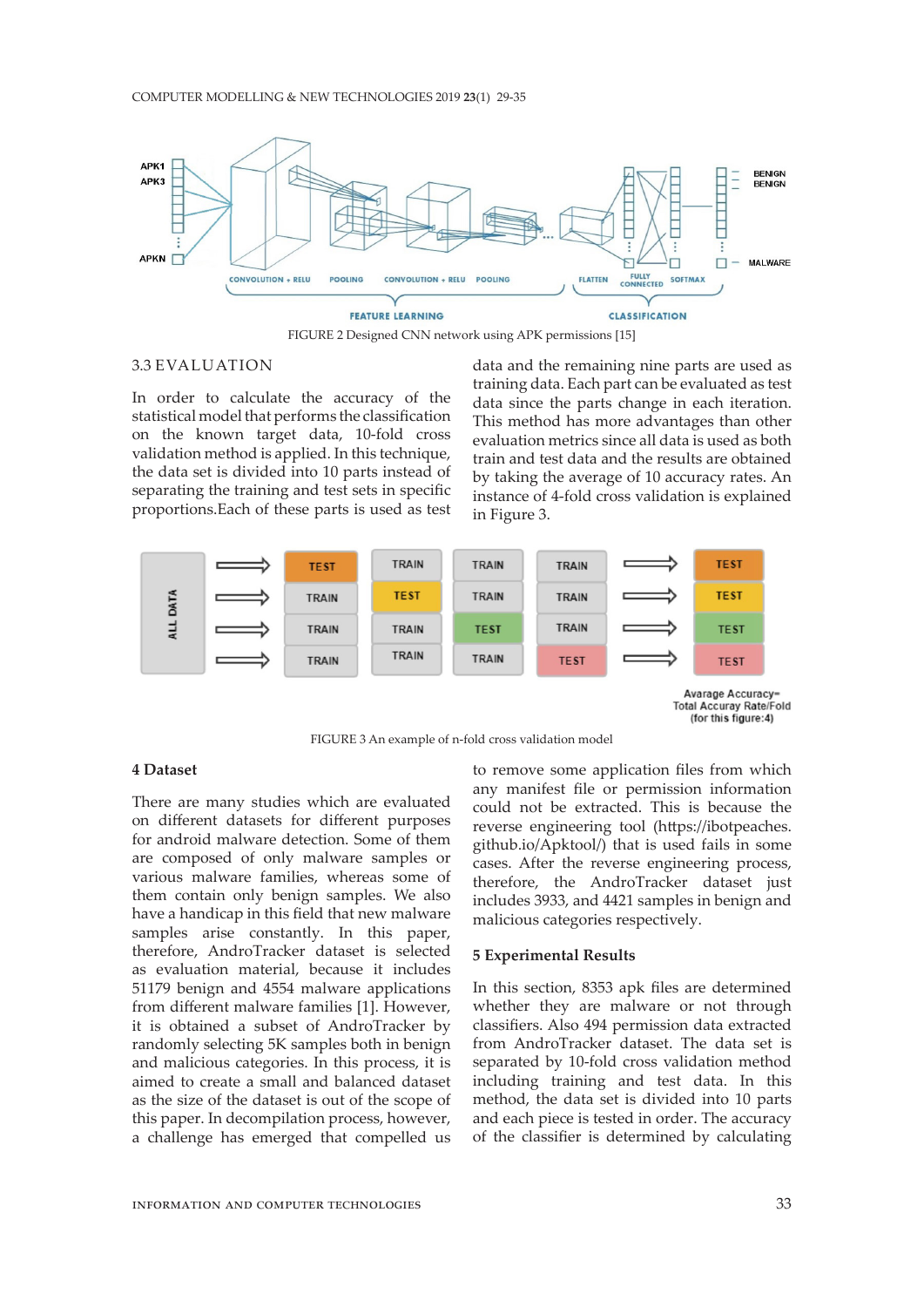#### COMPUTER MODELLING & NEW TECHNOLOGIES 2019 **23**(1) 29-35



FIGURE 2 Designed CNN network using APK permissions [15]

#### 3.3 EVALUATION

In order to calculate the accuracy of the statistical model that performs the classification on the known target data, 10-fold cross validation method is applied. In this technique, the data set is divided into 10 parts instead of separating the training and test sets in specific proportions.Each of these parts is used as test

data and the remaining nine parts are used as training data. Each part can be evaluated as test data since the parts change in each iteration. This method has more advantages than other evaluation metrics since all data is used as both train and test data and the results are obtained by taking the average of 10 accuracy rates. An instance of 4-fold cross validation is explained in Figure 3.





#### **4 Dataset**

There are many studies which are evaluated on different datasets for different purposes for android malware detection. Some of them are composed of only malware samples or various malware families, whereas some of them contain only benign samples. We also have a handicap in this field that new malware samples arise constantly. In this paper, therefore, AndroTracker dataset is selected as evaluation material, because it includes 51179 benign and 4554 malware applications from different malware families [1]. However, it is obtained a subset of AndroTracker by randomly selecting 5K samples both in benign and malicious categories. In this process, it is aimed to create a small and balanced dataset as the size of the dataset is out of the scope of this paper. In decompilation process, however, a challenge has emerged that compelled us

to remove some application files from which any manifest file or permission information could not be extracted. This is because the reverse engineering tool (https://ibotpeaches. github.io/Apktool/) that is used fails in some cases. After the reverse engineering process, therefore, the AndroTracker dataset just includes 3933, and 4421 samples in benign and malicious categories respectively.

#### **5 Experimental Results**

In this section, 8353 apk files are determined whether they are malware or not through classifiers. Also 494 permission data extracted from AndroTracker dataset. The data set is separated by 10-fold cross validation method including training and test data. In this method, the data set is divided into 10 parts and each piece is tested in order. The accuracy of the classifier is determined by calculating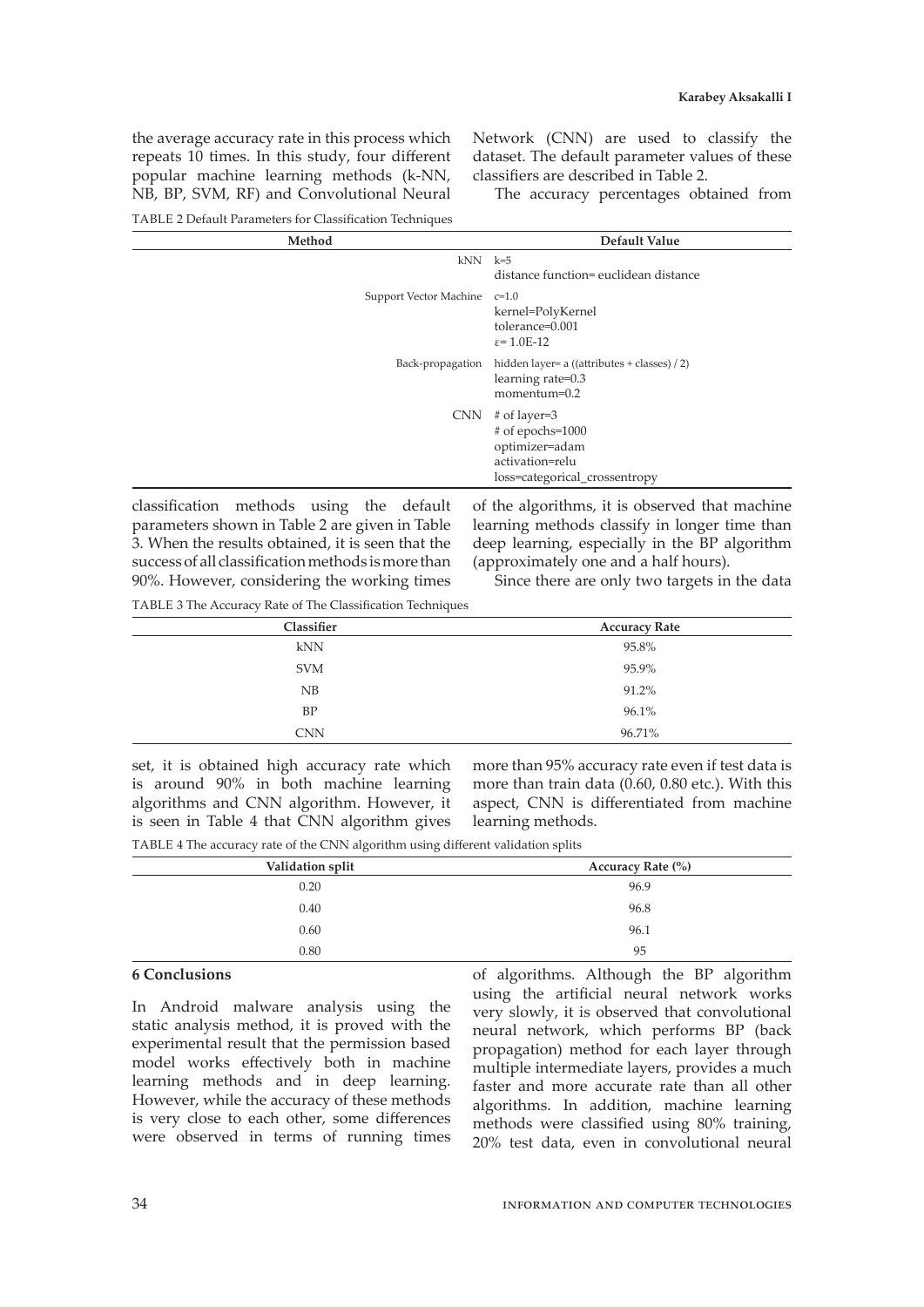the average accuracy rate in this process which repeats 10 times. In this study, four different popular machine learning methods (k-NN, NB, BP, SVM, RF) and Convolutional Neural Network (CNN) are used to classify the dataset. The default parameter values of these classifiers are described in Table 2.

The accuracy percentages obtained from

TABLE 2 Default Parameters for Classification Techniques

| Method                       | Default Value                                                                                               |
|------------------------------|-------------------------------------------------------------------------------------------------------------|
| $kNN$ $k=5$                  | distance function= euclidean distance                                                                       |
| Support Vector Machine c=1.0 | kernel=PolyKernel<br>tolerance=0.001<br>$\varepsilon$ = 1.0E-12                                             |
|                              | Back-propagation hidden layer= a ((attributes + classes) / 2)<br>learning rate=0.3<br>momentum=0.2          |
| <b>CNN</b>                   | # of layer=3<br>$#$ of epochs= $1000$<br>optimizer=adam<br>activation=relu<br>loss=categorical_crossentropy |

classification methods using the default parameters shown in Table 2 are given in Table 3. When the results obtained, it is seen that the success of all classification methods is more than 90%. However, considering the working times of the algorithms, it is observed that machine learning methods classify in longer time than deep learning, especially in the BP algorithm (approximately one and a half hours).

Since there are only two targets in the data

TABLE 3 The Accuracy Rate of The Classification Techniques

| Classifier | <b>Accuracy Rate</b> |
|------------|----------------------|
| kNN        | 95.8%                |
| <b>SVM</b> | 95.9%                |
| NB         | 91.2%                |
| BP         | 96.1%                |
| <b>CNN</b> | 96.71%               |

set, it is obtained high accuracy rate which is around 90% in both machine learning algorithms and CNN algorithm. However, it is seen in Table 4 that CNN algorithm gives

more than 95% accuracy rate even if test data is more than train data (0.60, 0.80 etc.). With this aspect, CNN is differentiated from machine learning methods.

TABLE 4 The accuracy rate of the CNN algorithm using different validation splits

| Validation split | Accuracy Rate (%) |
|------------------|-------------------|
| 0.20             | 96.9              |
| 0.40             | 96.8              |
| 0.60             | 96.1              |
| 0.80             | 95                |

# **6 Conclusions**

In Android malware analysis using the static analysis method, it is proved with the experimental result that the permission based model works effectively both in machine learning methods and in deep learning. However, while the accuracy of these methods is very close to each other, some differences were observed in terms of running times of algorithms. Although the BP algorithm using the artificial neural network works very slowly, it is observed that convolutional neural network, which performs BP (back propagation) method for each layer through multiple intermediate layers, provides a much faster and more accurate rate than all other algorithms. In addition, machine learning methods were classified using 80% training, 20% test data, even in convolutional neural